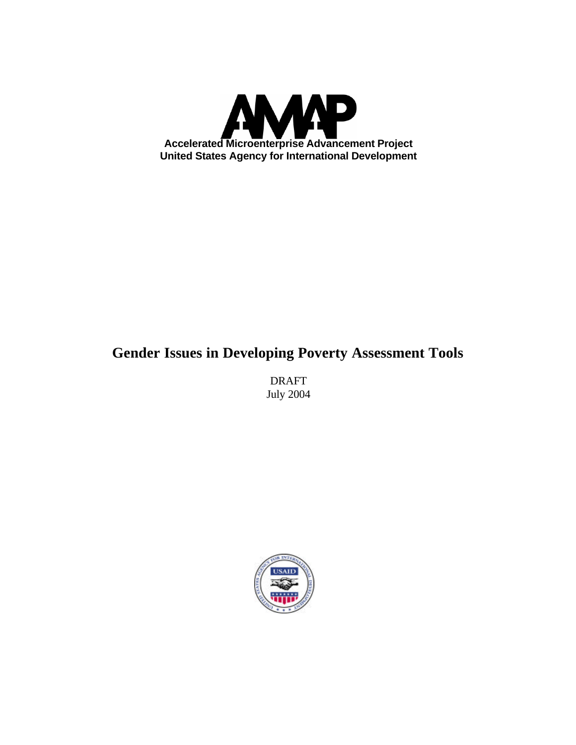

# **Gender Issues in Developing Poverty Assessment Tools**

DRAFT July 2004

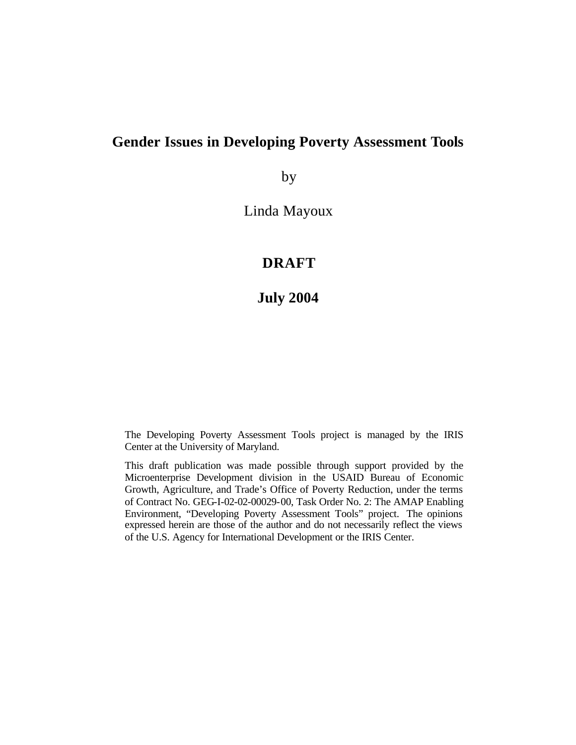# **Gender Issues in Developing Poverty Assessment Tools**

by

Linda Mayoux

# **DRAFT**

# **July 2004**

The Developing Poverty Assessment Tools project is managed by the IRIS Center at the University of Maryland.

This draft publication was made possible through support provided by the Microenterprise Development division in the USAID Bureau of Economic Growth, Agriculture, and Trade's Office of Poverty Reduction, under the terms of Contract No. GEG-I-02-02-00029-00, Task Order No. 2: The AMAP Enabling Environment, "Developing Poverty Assessment Tools" project. The opinions expressed herein are those of the author and do not necessarily reflect the views of the U.S. Agency for International Development or the IRIS Center.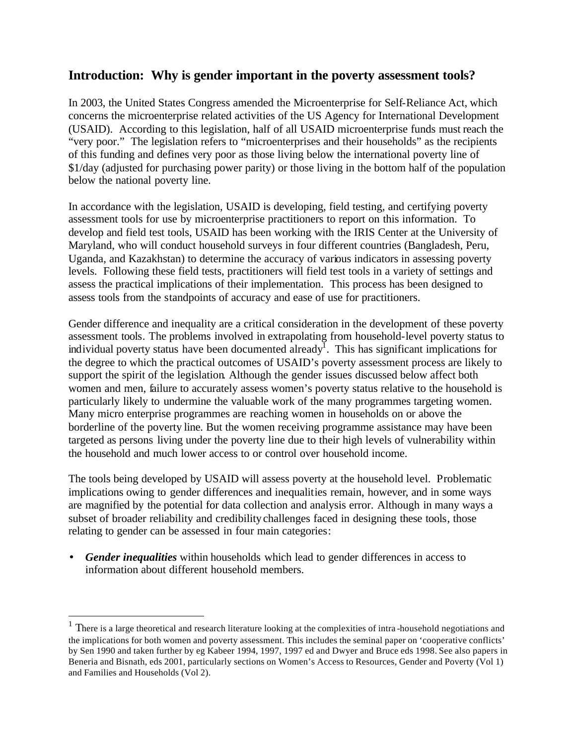#### **Introduction: Why is gender important in the poverty assessment tools?**

In 2003, the United States Congress amended the Microenterprise for Self-Reliance Act, which concerns the microenterprise related activities of the US Agency for International Development (USAID). According to this legislation, half of all USAID microenterprise funds must reach the "very poor." The legislation refers to "microenterprises and their households" as the recipients of this funding and defines very poor as those living below the international poverty line of \$1/day (adjusted for purchasing power parity) or those living in the bottom half of the population below the national poverty line.

In accordance with the legislation, USAID is developing, field testing, and certifying poverty assessment tools for use by microenterprise practitioners to report on this information. To develop and field test tools, USAID has been working with the IRIS Center at the University of Maryland, who will conduct household surveys in four different countries (Bangladesh, Peru, Uganda, and Kazakhstan) to determine the accuracy of various indicators in assessing poverty levels. Following these field tests, practitioners will field test tools in a variety of settings and assess the practical implications of their implementation. This process has been designed to assess tools from the standpoints of accuracy and ease of use for practitioners.

Gender difference and inequality are a critical consideration in the development of these poverty assessment tools. The problems involved in extrapolating from household-level poverty status to individual poverty status have been documented already<sup>1</sup>. This has significant implications for the degree to which the practical outcomes of USAID's poverty assessment process are likely to support the spirit of the legislation. Although the gender issues discussed below affect both women and men, failure to accurately assess women's poverty status relative to the household is particularly likely to undermine the valuable work of the many programmes targeting women. Many micro enterprise programmes are reaching women in households on or above the borderline of the poverty line. But the women receiving programme assistance may have been targeted as persons living under the poverty line due to their high levels of vulnerability within the household and much lower access to or control over household income.

The tools being developed by USAID will assess poverty at the household level. Problematic implications owing to gender differences and inequalities remain, however, and in some ways are magnified by the potential for data collection and analysis error. Although in many ways a subset of broader reliability and credibilitychallenges faced in designing these tools, those relating to gender can be assessed in four main categories:

• *Gender inequalities* within households which lead to gender differences in access to information about different household members.

 $\overline{a}$ 

<sup>&</sup>lt;sup>1</sup> There is a large theoretical and research literature looking at the complexities of intra-household negotiations and the implications for both women and poverty assessment. This includes the seminal paper on 'cooperative conflicts' by Sen 1990 and taken further by eg Kabeer 1994, 1997, 1997 ed and Dwyer and Bruce eds 1998. See also papers in Beneria and Bisnath, eds 2001, particularly sections on Women's Access to Resources, Gender and Poverty (Vol 1) and Families and Households (Vol 2).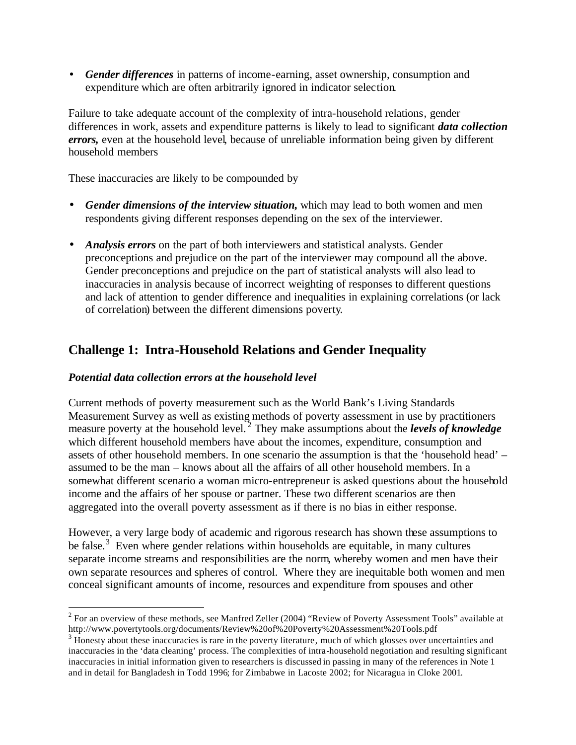• *Gender differences* in patterns of income-earning, asset ownership, consumption and expenditure which are often arbitrarily ignored in indicator selection.

Failure to take adequate account of the complexity of intra-household relations, gender differences in work, assets and expenditure patterns is likely to lead to significant *data collection errors,* even at the household level, because of unreliable information being given by different household members

These inaccuracies are likely to be compounded by

- *Gender dimensions of the interview situation,* which may lead to both women and men respondents giving different responses depending on the sex of the interviewer.
- *Analysis errors* on the part of both interviewers and statistical analysts. Gender preconceptions and prejudice on the part of the interviewer may compound all the above. Gender preconceptions and prejudice on the part of statistical analysts will also lead to inaccuracies in analysis because of incorrect weighting of responses to different questions and lack of attention to gender difference and inequalities in explaining correlations (or lack of correlation) between the different dimensions poverty.

#### **Challenge 1: Intra-Household Relations and Gender Inequality**

#### *Potential data collection errors at the household level*

 $\overline{a}$ 

Current methods of poverty measurement such as the World Bank's Living Standards Measurement Survey as well as existing methods of poverty assessment in use by practitioners measure poverty at the household level. <sup>2</sup> They make assumptions about the *levels of knowledge* which different household members have about the incomes, expenditure, consumption and assets of other household members. In one scenario the assumption is that the 'household head' – assumed to be the man – knows about all the affairs of all other household members. In a somewhat different scenario a woman micro-entrepreneur is asked questions about the household income and the affairs of her spouse or partner. These two different scenarios are then aggregated into the overall poverty assessment as if there is no bias in either response.

However, a very large body of academic and rigorous research has shown these assumptions to be false.<sup>3</sup> Even where gender relations within households are equitable, in many cultures separate income streams and responsibilities are the norm, whereby women and men have their own separate resources and spheres of control. Where they are inequitable both women and men conceal significant amounts of income, resources and expenditure from spouses and other

 $2^2$  For an overview of these methods, see Manfred Zeller (2004) "Review of Poverty Assessment Tools" available at http://www.povertytools.org/documents/Review%20of%20Poverty%20Assessment%20Tools.pdf

<sup>&</sup>lt;sup>3</sup> Honesty about these inaccuracies is rare in the poverty literature, much of which glosses over uncertainties and inaccuracies in the 'data cleaning' process. The complexities of intra-household negotiation and resulting significant inaccuracies in initial information given to researchers is discussed in passing in many of the references in Note 1 and in detail for Bangladesh in Todd 1996; for Zimbabwe in Lacoste 2002; for Nicaragua in Cloke 2001.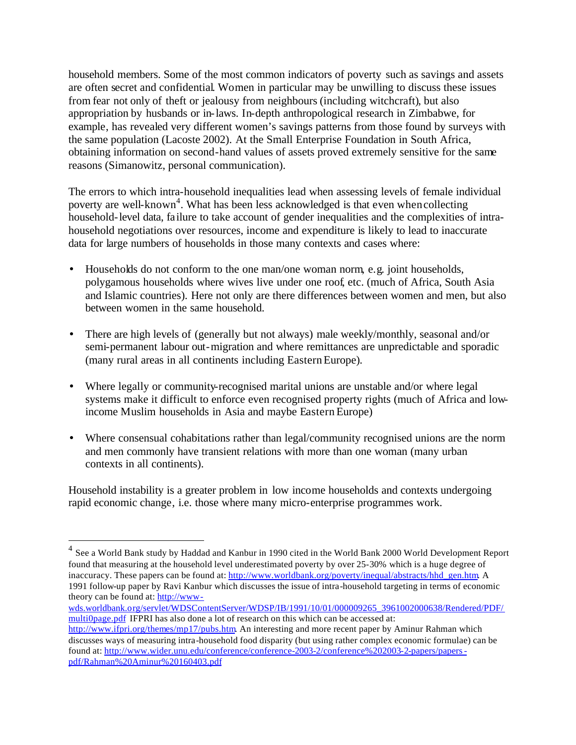household members. Some of the most common indicators of poverty such as savings and assets are often secret and confidential. Women in particular may be unwilling to discuss these issues from fear not only of theft or jealousy from neighbours (including witchcraft), but also appropriation by husbands or in-laws. In-depth anthropological research in Zimbabwe, for example, has revealed very different women's savings patterns from those found by surveys with the same population (Lacoste 2002). At the Small Enterprise Foundation in South Africa, obtaining information on second-hand values of assets proved extremely sensitive for the same reasons (Simanowitz, personal communication).

The errors to which intra-household inequalities lead when assessing levels of female individual poverty are well-known<sup>4</sup>. What has been less acknowledged is that even when collecting household-level data, failure to take account of gender inequalities and the complexities of intrahousehold negotiations over resources, income and expenditure is likely to lead to inaccurate data for large numbers of households in those many contexts and cases where:

- Households do not conform to the one man/one woman norm, e.g. joint households, polygamous households where wives live under one roof, etc. (much of Africa, South Asia and Islamic countries). Here not only are there differences between women and men, but also between women in the same household.
- There are high levels of (generally but not always) male weekly/monthly, seasonal and/or semi-permanent labour out-migration and where remittances are unpredictable and sporadic (many rural areas in all continents including Eastern Europe).
- Where legally or community-recognised marital unions are unstable and/or where legal systems make it difficult to enforce even recognised property rights (much of Africa and lowincome Muslim households in Asia and maybe Eastern Europe)
- Where consensual cohabitations rather than legal/community recognised unions are the norm and men commonly have transient relations with more than one woman (many urban contexts in all continents).

Household instability is a greater problem in low income households and contexts undergoing rapid economic change, i.e. those where many micro-enterprise programmes work.

wds.worldbank.org/servlet/WDSContentServer/WDSP/IB/1991/10/01/000009265\_3961002000638/Rendered/PDF/ multi0page.pdf IFPRI has also done a lot of research on this which can be accessed at: http://www.ifpri.org/themes/mp17/pubs.htm. An interesting and more recent paper by Aminur Rahman which discusses ways of measuring intra-household food disparity (but using rather complex economic formulae) can be found at: http://www.wider.unu.edu/conference/conference-2003-2/conference%202003-2-papers/papers-

pdf/Rahman%20Aminur%20160403.pdf

<sup>4&</sup>lt;br><sup>4</sup> See a World Bank study by Haddad and Kanbur in 1990 cited in the World Bank 2000 World Development Report found that measuring at the household level underestimated poverty by over 25-30% which is a huge degree of inaccuracy. These papers can be found at: http://www.worldbank.org/poverty/inequal/abstracts/hhd\_gen.htm A 1991 follow-up paper by Ravi Kanbur which discusses the issue of intra-household targeting in terms of economic theory can be found at: http://www-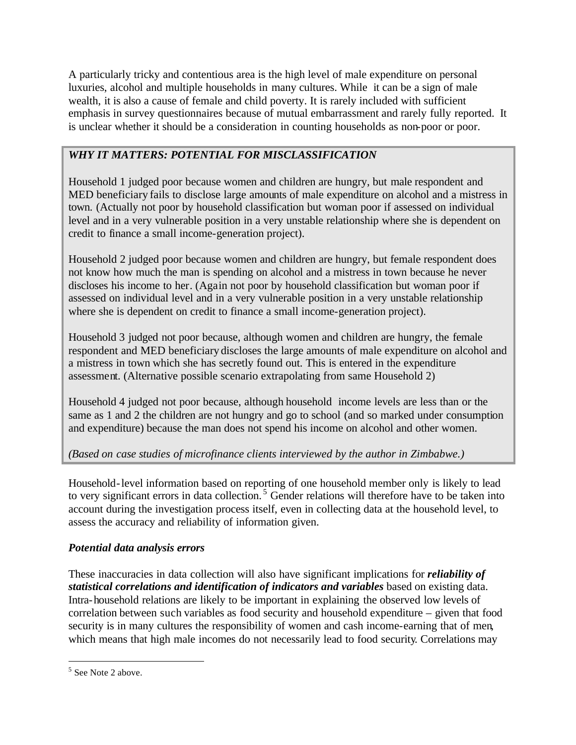A particularly tricky and contentious area is the high level of male expenditure on personal luxuries, alcohol and multiple households in many cultures. While it can be a sign of male wealth, it is also a cause of female and child poverty. It is rarely included with sufficient emphasis in survey questionnaires because of mutual embarrassment and rarely fully reported. It is unclear whether it should be a consideration in counting households as non-poor or poor.

## *WHY IT MATTERS: POTENTIAL FOR MISCLASSIFICATION*

Household 1 judged poor because women and children are hungry, but male respondent and MED beneficiary fails to disclose large amounts of male expenditure on alcohol and a mistress in town. (Actually not poor by household classification but woman poor if assessed on individual level and in a very vulnerable position in a very unstable relationship where she is dependent on credit to finance a small income-generation project).

Household 2 judged poor because women and children are hungry, but female respondent does not know how much the man is spending on alcohol and a mistress in town because he never discloses his income to her. (Again not poor by household classification but woman poor if assessed on individual level and in a very vulnerable position in a very unstable relationship where she is dependent on credit to finance a small income-generation project).

Household 3 judged not poor because, although women and children are hungry, the female respondent and MED beneficiary discloses the large amounts of male expenditure on alcohol and a mistress in town which she has secretly found out. This is entered in the expenditure assessment. (Alternative possible scenario extrapolating from same Household 2)

Household 4 judged not poor because, although household income levels are less than or the same as 1 and 2 the children are not hungry and go to school (and so marked under consumption and expenditure) because the man does not spend his income on alcohol and other women.

## *(Based on case studies of microfinance clients interviewed by the author in Zimbabwe.)*

Household-level information based on reporting of one household member only is likely to lead to very significant errors in data collection.<sup>5</sup> Gender relations will therefore have to be taken into account during the investigation process itself, even in collecting data at the household level, to assess the accuracy and reliability of information given.

## *Potential data analysis errors*

These inaccuracies in data collection will also have significant implications for *reliability of statistical correlations and identification of indicators and variables* based on existing data. Intra-household relations are likely to be important in explaining the observed low levels of correlation between such variables as food security and household expenditure – given that food security is in many cultures the responsibility of women and cash income-earning that of men, which means that high male incomes do not necessarily lead to food security. Correlations may

 $\overline{a}$ 

<sup>&</sup>lt;sup>5</sup> See Note 2 above.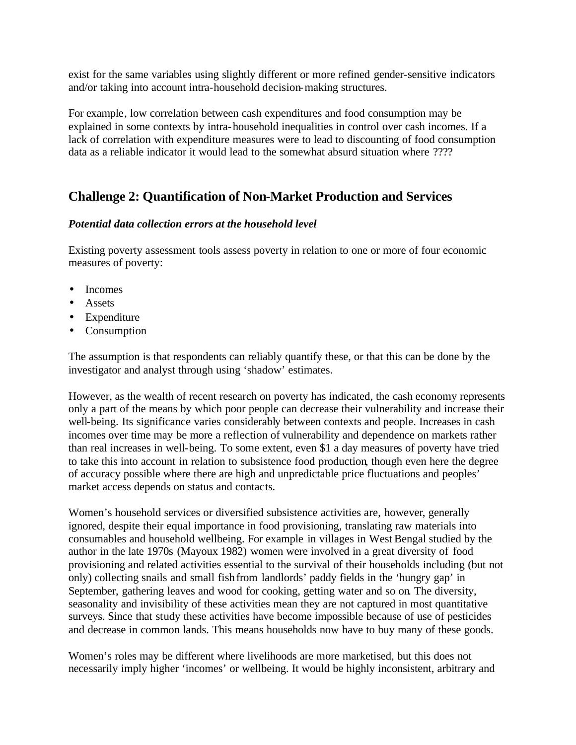exist for the same variables using slightly different or more refined gender-sensitive indicators and/or taking into account intra-household decision-making structures.

For example, low correlation between cash expenditures and food consumption may be explained in some contexts by intra-household inequalities in control over cash incomes. If a lack of correlation with expenditure measures were to lead to discounting of food consumption data as a reliable indicator it would lead to the somewhat absurd situation where ????

## **Challenge 2: Quantification of Non-Market Production and Services**

#### *Potential data collection errors at the household level*

Existing poverty assessment tools assess poverty in relation to one or more of four economic measures of poverty:

- Incomes
- Assets
- Expenditure
- Consumption

The assumption is that respondents can reliably quantify these, or that this can be done by the investigator and analyst through using 'shadow' estimates.

However, as the wealth of recent research on poverty has indicated, the cash economy represents only a part of the means by which poor people can decrease their vulnerability and increase their well-being. Its significance varies considerably between contexts and people. Increases in cash incomes over time may be more a reflection of vulnerability and dependence on markets rather than real increases in well-being. To some extent, even \$1 a day measures of poverty have tried to take this into account in relation to subsistence food production, though even here the degree of accuracy possible where there are high and unpredictable price fluctuations and peoples' market access depends on status and contacts.

Women's household services or diversified subsistence activities are, however, generally ignored, despite their equal importance in food provisioning, translating raw materials into consumables and household wellbeing. For example in villages in West Bengal studied by the author in the late 1970s (Mayoux 1982) women were involved in a great diversity of food provisioning and related activities essential to the survival of their households including (but not only) collecting snails and small fish from landlords' paddy fields in the 'hungry gap' in September, gathering leaves and wood for cooking, getting water and so on. The diversity, seasonality and invisibility of these activities mean they are not captured in most quantitative surveys. Since that study these activities have become impossible because of use of pesticides and decrease in common lands. This means households now have to buy many of these goods.

Women's roles may be different where livelihoods are more marketised, but this does not necessarily imply higher 'incomes' or wellbeing. It would be highly inconsistent, arbitrary and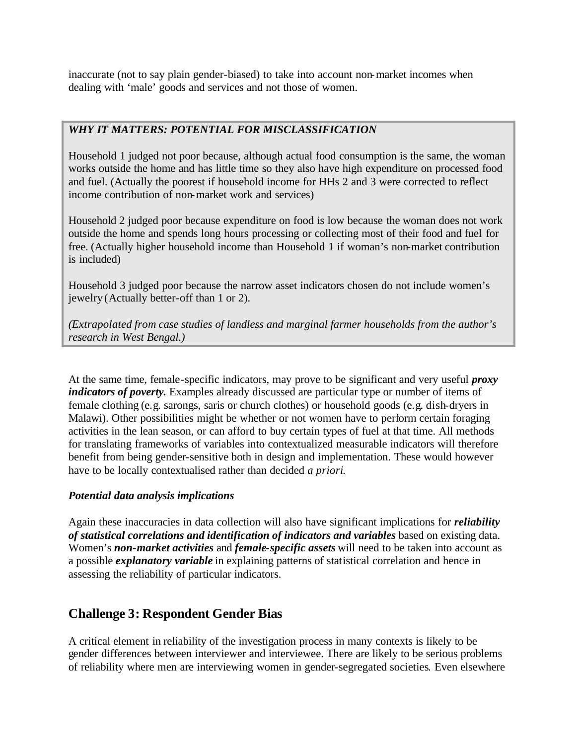inaccurate (not to say plain gender-biased) to take into account non-market incomes when dealing with 'male' goods and services and not those of women.

#### *WHY IT MATTERS: POTENTIAL FOR MISCLASSIFICATION*

Household 1 judged not poor because, although actual food consumption is the same, the woman works outside the home and has little time so they also have high expenditure on processed food and fuel. (Actually the poorest if household income for HHs 2 and 3 were corrected to reflect income contribution of non-market work and services)

Household 2 judged poor because expenditure on food is low because the woman does not work outside the home and spends long hours processing or collecting most of their food and fuel for free. (Actually higher household income than Household 1 if woman's non-market contribution is included)

Household 3 judged poor because the narrow asset indicators chosen do not include women's jewelry (Actually better-off than 1 or 2).

*(Extrapolated from case studies of landless and marginal farmer households from the author's research in West Bengal.)*

At the same time, female-specific indicators, may prove to be significant and very useful *proxy indicators of poverty*. Examples already discussed are particular type or number of items of female clothing (e.g. sarongs, saris or church clothes) or household goods (e.g. dish-dryers in Malawi). Other possibilities might be whether or not women have to perform certain foraging activities in the lean season, or can afford to buy certain types of fuel at that time. All methods for translating frameworks of variables into contextualized measurable indicators will therefore benefit from being gender-sensitive both in design and implementation. These would however have to be locally contextualised rather than decided *a priori*.

#### *Potential data analysis implications*

Again these inaccuracies in data collection will also have significant implications for *reliability of statistical correlations and identification of indicators and variables* based on existing data. Women's *non-market activities* and *female-specific assets* will need to be taken into account as a possible *explanatory variable* in explaining patterns of statistical correlation and hence in assessing the reliability of particular indicators.

## **Challenge 3: Respondent Gender Bias**

A critical element in reliability of the investigation process in many contexts is likely to be gender differences between interviewer and interviewee. There are likely to be serious problems of reliability where men are interviewing women in gender-segregated societies. Even elsewhere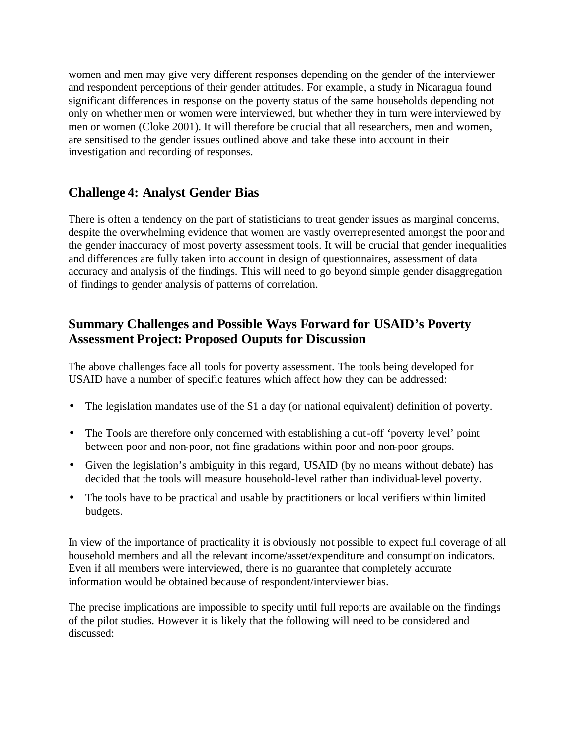women and men may give very different responses depending on the gender of the interviewer and respondent perceptions of their gender attitudes. For example, a study in Nicaragua found significant differences in response on the poverty status of the same households depending not only on whether men or women were interviewed, but whether they in turn were interviewed by men or women (Cloke 2001). It will therefore be crucial that all researchers, men and women, are sensitised to the gender issues outlined above and take these into account in their investigation and recording of responses.

# **Challenge 4: Analyst Gender Bias**

There is often a tendency on the part of statisticians to treat gender issues as marginal concerns, despite the overwhelming evidence that women are vastly overrepresented amongst the poor and the gender inaccuracy of most poverty assessment tools. It will be crucial that gender inequalities and differences are fully taken into account in design of questionnaires, assessment of data accuracy and analysis of the findings. This will need to go beyond simple gender disaggregation of findings to gender analysis of patterns of correlation.

# **Summary Challenges and Possible Ways Forward for USAID's Poverty Assessment Project: Proposed Ouputs for Discussion**

The above challenges face all tools for poverty assessment. The tools being developed for USAID have a number of specific features which affect how they can be addressed:

- The legislation mandates use of the \$1 a day (or national equivalent) definition of poverty.
- The Tools are therefore only concerned with establishing a cut-off 'poverty level' point between poor and non-poor, not fine gradations within poor and non-poor groups.
- Given the legislation's ambiguity in this regard, USAID (by no means without debate) has decided that the tools will measure household-level rather than individual-level poverty.
- The tools have to be practical and usable by practitioners or local verifiers within limited budgets.

In view of the importance of practicality it is obviously not possible to expect full coverage of all household members and all the relevant income/asset/expenditure and consumption indicators. Even if all members were interviewed, there is no guarantee that completely accurate information would be obtained because of respondent/interviewer bias.

The precise implications are impossible to specify until full reports are available on the findings of the pilot studies. However it is likely that the following will need to be considered and discussed: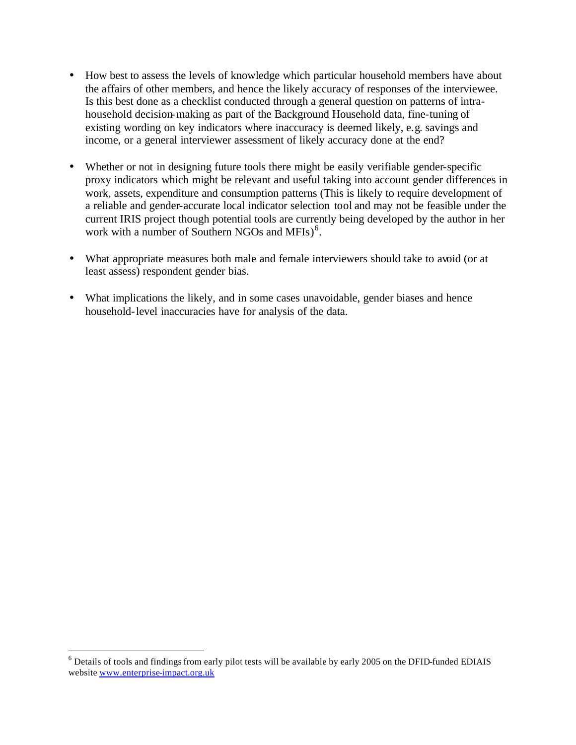- How best to assess the levels of knowledge which particular household members have about the affairs of other members, and hence the likely accuracy of responses of the interviewee. Is this best done as a checklist conducted through a general question on patterns of intrahousehold decision-making as part of the Background Household data, fine-tuning of existing wording on key indicators where inaccuracy is deemed likely, e.g. savings and income, or a general interviewer assessment of likely accuracy done at the end?
- Whether or not in designing future tools there might be easily verifiable gender-specific proxy indicators which might be relevant and useful taking into account gender differences in work, assets, expenditure and consumption patterns (This is likely to require development of a reliable and gender-accurate local indicator selection tool and may not be feasible under the current IRIS project though potential tools are currently being developed by the author in her work with a number of Southern NGOs and MFIs)<sup>6</sup>.
- What appropriate measures both male and female interviewers should take to avoid (or at least assess) respondent gender bias.
- What implications the likely, and in some cases unavoidable, gender biases and hence household-level inaccuracies have for analysis of the data.

 6 Details of tools and findings from early pilot tests will be available by early 2005 on the DFID-funded EDIAIS website www.enterprise-impact.org.uk